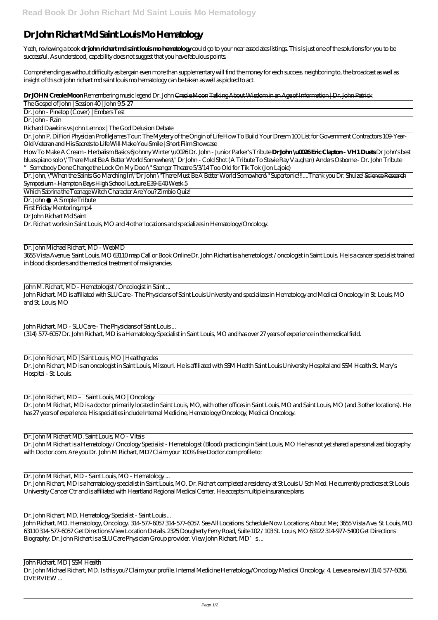## **Dr John Richart Md Saint Louis Mo Hematology**

Yeah, reviewing a book **dr john richart md saint louis mo hematology** could go to your near associates listings. This is just one of the solutions for you to be successful. As understood, capability does not suggest that you have fabulous points.

Comprehending as without difficulty as bargain even more than supplementary will find the money for each success. neighboring to, the broadcast as well as insight of this dr john richart md saint louis mo hematology can be taken as well as picked to act.

Dr. John P. DiFiori Physician ProfileJames Tour: The Mystery of the Origin of Life How To Build Your Dream 100 List for Government Contractors 109 Year-Old Veteran and His Secrets to Life Will Make You Smile | Short Film Showcase

**Dr JOHN Creole Moon** *Remembering music legend Dr. John* Creole Moon Talking About Wisdom in an Age of Information | Dr. John Patrick

The Gospel of John | Session 40 | John 9:5-27

Dr. John - Pinetop (Cover) | Embers Test

Dr. John - Rain

Richard Dawkins vs John Lennox | The God Delusion Debate

How To Make A Cream - Herbalism Basics 6*Johnny Winter \u0026 Dr. John - Junior Parker's Tribute* **Dr John \u0026 Eric Clapton - VH1 Duets** *Dr John's best blues piano solo \"There Must Be A Better World Somewhere\" Dr John - Cold Shot (A Tribute To Stevie Ray Vaughan) Anders Osborne - Dr. John Tribute "Somebody Done Change the Lock On My Door\" Saenger Theatre 5/3/14 Too Old for Tik Tok (Jon Lajoie)*

John Richart, MD - SLUCare - The Physicians of Saint Louis... (314) 577-6057 Dr. John Richart, MD is a Hematology Specialist in Saint Louis, MO and has over 27 years of experience in the medical field.

Dr. John, \"When the Saints Go Marching In\"*Dr John \"There Must Be A Better World Somewhere\"* Supertonic!!!....Thank you Dr. Shulze! Science Research Symposium - Hampton Bays High School Lecture E39-E40 Week 5

Which Sabrina the Teenage Witch Character Are You? Zimbio Quiz!

Dr. John A Simple Tribute

First Friday Mentoring.mp4

Dr John Richart Md Saint

Dr. Richart works in Saint Louis, MO and 4 other locations and specializes in Hematology/Oncology.

John Richart, MD. Hematology, Oncology. 314-577-6057 314-577-6057. See All Locations. Schedule Now. Locations; About Me ; 3655 Vista Ave. St. Louis, MO 63110 314-577-6057 Get Directions View Location Details. 2325 Dougherty Ferry Road, Suite 102 / 103 St. Louis, MO 63122 314-977-5400 Get Directions Biography: Dr. John Richart is a SLUCare Physician Group provider. View John Richart, MD's...

Dr. John Michael Richart, MD - WebMD

3655 Vista Avenue, Saint Louis, MO 63110 map Call or Book Online Dr. John Richart is a hematologist / oncologist in Saint Louis. He is a cancer specialist trained in blood disorders and the medical treatment of malignancies.

John M. Richart, MD - Hematologist / Oncologist in Saint ... John Richart, MD is affiliated with SLUCare - The Physicians of Saint Louis University and specializes in Hematology and Medical Oncology in St. Louis, MO and St. Louis, MO

## Dr. John Richart, MD | Saint Louis, MO | Healthgrades

Dr. John Richart, MD is an oncologist in Saint Louis, Missouri. He is affiliated with SSM Health Saint Louis University Hospital and SSM Health St. Mary's Hospital - St. Louis.

Dr. John Richart, MD – Saint Louis, MO | Oncology

Dr. John M Richart, MD is a doctor primarily located in Saint Louis, MO, with other offices in Saint Louis, MO and Saint Louis, MO (and 3 other locations). He has 27 years of experience. His specialties include Internal Medicine, Hematology/Oncology, Medical Oncology.

## Dr. John M Richart MD. Saint Louis, MO - Vitals

Dr. John M Richart is a Hematology / Oncology Specialist - Hematologist (Blood) practicing in Saint Louis, MO He has not yet shared a personalized biography with Doctor.com. Are you Dr. John M Richart, MD? Claim your 100% free Doctor.com profile to:

Dr. John M Richart, MD - Saint Louis, MO - Hematology ...

Dr. John Richart, MD is a hematology specialist in Saint Louis, MO. Dr. Richart completed a residency at St Louis U Sch Med. He currently practices at St Louis University Cancer Ctr and is affiliated with Heartland Regional Medical Center. He accepts multiple insurance plans.

Dr. John Richart, MD, Hematology Specialist - Saint Louis ...

John Richart, MD | SSM Health Dr. John Michael Richart, MD. Is this you? Claim your profile. Internal Medicine Hematology/Oncology Medical Oncology. 4. Leave a review (314) 577-6056. OVERVIEW ...